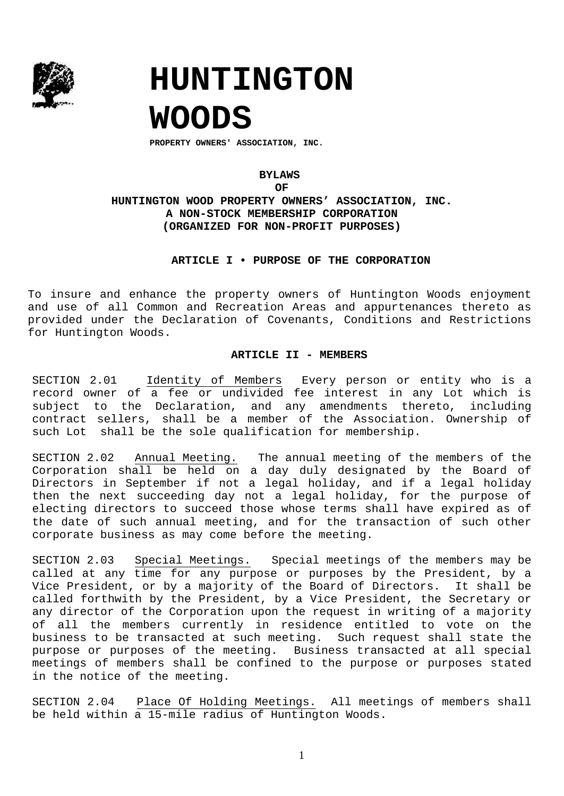

# **HUNTINGTON**

## **WOODS**

**PROPERTY OWNERS' ASSOCIATION, INC.**

### **BYLAWS**

**OF**

### **HUNTINGTON WOOD PROPERTY OWNERS' ASSOCIATION, INC. A NON-STOCK MEMBERSHIP CORPORATION (ORGANIZED FOR NON-PROFIT PURPOSES)**

### **ARTICLE I • PURPOSE OF THE CORPORATION**

To insure and enhance the property owners of Huntington Woods enjoyment and use of all Common and Recreation Areas and appurtenances thereto as provided under the Declaration of Covenants, Conditions and Restrictions for Huntington Woods.

### **ARTICLE II - MEMBERS**

SECTION 2.01 Identity of Members Every person or entity who is a record owner of a fee or undivided fee interest in any Lot which is subject to the Declaration, and any amendments thereto, including contract sellers, shall be a member of the Association. Ownership of such Lot shall be the sole qualification for membership.

SECTION 2.02 Annual Meeting. The annual meeting of the members of the Corporation shall be held on a day duly designated by the Board of Directors in September if not a legal holiday, and if a legal holiday then the next succeeding day not a legal holiday, for the purpose of electing directors to succeed those whose terms shall have expired as of the date of such annual meeting, and for the transaction of such other corporate business as may come before the meeting.

SECTION 2.03 Special Meetings. Special meetings of the members may be called at any time for any purpose or purposes by the President, by a Vice President, or by a majority of the Board of Directors. It shall be called forthwith by the President, by a Vice President, the Secretary or any director of the Corporation upon the request in writing of a majority of all the members currently in residence entitled to vote on the business to be transacted at such meeting. Such request shall state the purpose or purposes of the meeting. Business transacted at all special meetings of members shall be confined to the purpose or purposes stated in the notice of the meeting.

SECTION 2.04 Place Of Holding Meetings. All meetings of members shall be held within a 15-mile radius of Huntington Woods.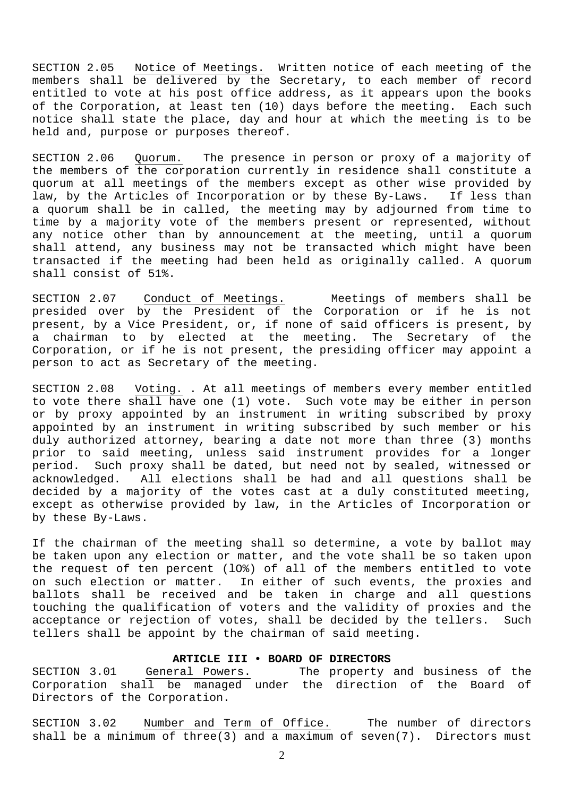SECTION 2.05 Notice of Meetings. Written notice of each meeting of the members shall be delivered by the Secretary, to each member of record entitled to vote at his post office address, as it appears upon the books of the Corporation, at least ten (10) days before the meeting. Each such notice shall state the place, day and hour at which the meeting is to be held and, purpose or purposes thereof.

SECTION 2.06 Quorum. The presence in person or proxy of a majority of the members of the corporation currently in residence shall constitute a quorum at all meetings of the members except as other wise provided by law, by the Articles of Incorporation or by these By-Laws. If less than a quorum shall be in called, the meeting may by adjourned from time to time by a majority vote of the members present or represented, without any notice other than by announcement at the meeting, until a quorum shall attend, any business may not be transacted which might have been transacted if the meeting had been held as originally called. A quorum shall consist of 51%.

SECTION 2.07 Conduct of Meetings. Meetings of members shall be presided over by the President of the Corporation or if he is not present, by a Vice President, or, if none of said officers is present, by a chairman to by elected at the meeting. The Secretary of the Corporation, or if he is not present, the presiding officer may appoint a person to act as Secretary of the meeting.

SECTION 2.08 Voting. . At all meetings of members every member entitled to vote there shall have one (1) vote. Such vote may be either in person or by proxy appointed by an instrument in writing subscribed by proxy appointed by an instrument in writing subscribed by such member or his duly authorized attorney, bearing a date not more than three (3) months prior to said meeting, unless said instrument provides for a longer<br>period. Such proxy shall be dated, but need not by sealed, witnessed or Such proxy shall be dated, but need not by sealed, witnessed or acknowledged. All elections shall be had and all questions shall be decided by a majority of the votes cast at a duly constituted meeting, except as otherwise provided by law, in the Articles of Incorporation or by these By-Laws.

If the chairman of the meeting shall so determine, a vote by ballot may be taken upon any election or matter, and the vote shall be so taken upon the request of ten percent (lO%) of all of the members entitled to vote on such election or matter. In either of such events, the proxies and ballots shall be received and be taken in charge and all questions touching the qualification of voters and the validity of proxies and the acceptance or rejection of votes, shall be decided by the tellers. Such tellers shall be appoint by the chairman of said meeting.

**ARTICLE III • BOARD OF DIRECTORS** SECTION 3.01 General Powers. The property and business of the Corporation shall be managed under the direction of the Board of Directors of the Corporation.

SECTION 3.02 Number and Term of Office. The number of directors shall be a minimum of three(3) and a maximum of seven(7). Directors must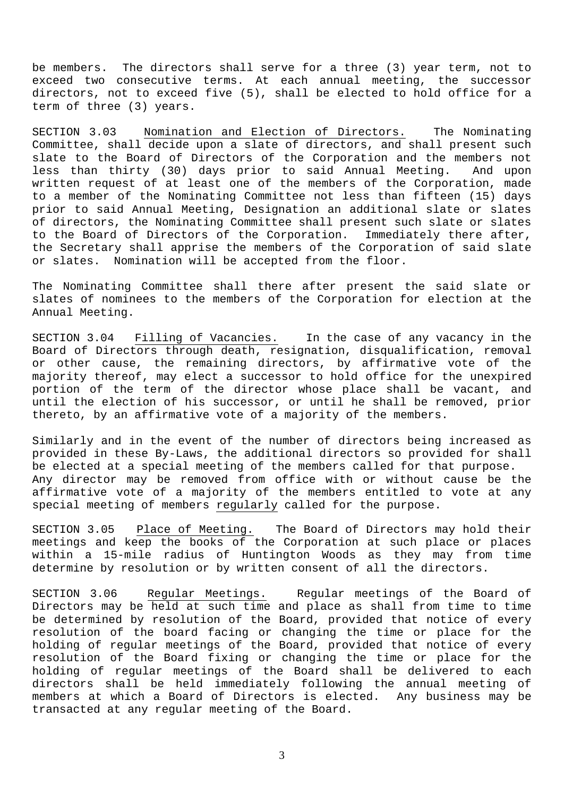be members. The directors shall serve for a three (3) year term, not to exceed two consecutive terms. At each annual meeting, the successor directors, not to exceed five (5), shall be elected to hold office for a term of three (3) years.

SECTION 3.03 Nomination and Election of Directors. The Nominating Committee, shall decide upon a slate of directors, and shall present such slate to the Board of Directors of the Corporation and the members not less than thirty (30) days prior to said Annual Meeting. And upon written request of at least one of the members of the Corporation, made to a member of the Nominating Committee not less than fifteen (15) days prior to said Annual Meeting, Designation an additional slate or slates of directors, the Nominating Committee shall present such slate or slates to the Board of Directors of the Corporation. Immediately there after, the Secretary shall apprise the members of the Corporation of said slate or slates. Nomination will be accepted from the floor.

The Nominating Committee shall there after present the said slate or slates of nominees to the members of the Corporation for election at the Annual Meeting.

SECTION 3.04 Filling of Vacancies. In the case of any vacancy in the Board of Directors through death, resignation, disqualification, removal or other cause, the remaining directors, by affirmative vote of the majority thereof, may elect a successor to hold office for the unexpired portion of the term of the director whose place shall be vacant, and until the election of his successor, or until he shall be removed, prior thereto, by an affirmative vote of a majority of the members.

Similarly and in the event of the number of directors being increased as provided in these By-Laws, the additional directors so provided for shall be elected at a special meeting of the members called for that purpose. Any director may be removed from office with or without cause be the affirmative vote of a majority of the members entitled to vote at any special meeting of members regularly called for the purpose.

SECTION 3.05 Place of Meeting. The Board of Directors may hold their meetings and keep the books of the Corporation at such place or places within a 15-mile radius of Huntington Woods as they may from time determine by resolution or by written consent of all the directors.

SECTION 3.06 Regular Meetings. Regular meetings of the Board of Directors may be held at such time and place as shall from time to time be determined by resolution of the Board, provided that notice of every resolution of the board facing or changing the time or place for the holding of regular meetings of the Board, provided that notice of every resolution of the Board fixing or changing the time or place for the holding of regular meetings of the Board shall be delivered to each directors shall be held immediately following the annual meeting of members at which a Board of Directors is elected. Any business may be transacted at any regular meeting of the Board.

3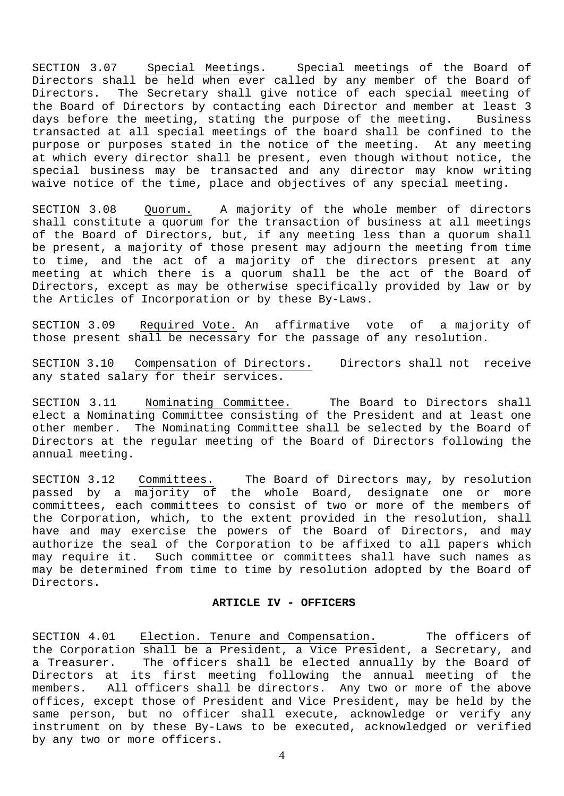SECTION 3.07 Special Meetings. Special meetings of the Board of Directors shall be held when ever called by any member of the Board of Directors. The Secretary shall give notice of each special meeting of the Board of Directors by contacting each Director and member at least 3<br>days before the meeting, stating the purpose of the meeting. Business days before the meeting, stating the purpose of the meeting. transacted at all special meetings of the board shall be confined to the purpose or purposes stated in the notice of the meeting. At any meeting at which every director shall be present, even though without notice, the special business may be transacted and any director may know writing waive notice of the time, place and objectives of any special meeting.

SECTION 3.08 Quorum. A majority of the whole member of directors shall constitute a quorum for the transaction of business at all meetings of the Board of Directors, but, if any meeting less than a quorum shall be present, a majority of those present may adjourn the meeting from time to time, and the act of a majority of the directors present at any meeting at which there is a quorum shall be the act of the Board of Directors, except as may be otherwise specifically provided by law or by the Articles of Incorporation or by these By-Laws.

SECTION 3.09 Required Vote. An affirmative vote of a majority of those present shall be necessary for the passage of any resolution.

SECTION 3.10 Compensation of Directors. Directors shall not receive any stated salary for their services.

SECTION 3.11 Nominating Committee. The Board to Directors shall elect a Nominating Committee consisting of the President and at least one other member. The Nominating Committee shall be selected by the Board of Directors at the regular meeting of the Board of Directors following the annual meeting.

SECTION 3.12 Committees. The Board of Directors may, by resolution passed by a majority of the whole Board, designate one or more committees, each committees to consist of two or more of the members of the Corporation, which, to the extent provided in the resolution, shall have and may exercise the powers of the Board of Directors, and may authorize the seal of the Corporation to be affixed to all papers which may require it. Such committee or committees shall have such names as may be determined from time to time by resolution adopted by the Board of Directors.

### **ARTICLE IV - OFFICERS**

SECTION 4.01 Election. Tenure and Compensation. The officers of the Corporation shall be a President, a Vice President, a Secretary, and a Treasurer. The officers shall be elected annually by the Board of Directors at its first meeting following the annual meeting of the members. All officers shall be directors. Any two or more of the above offices, except those of President and Vice President, may be held by the same person, but no officer shall execute, acknowledge or verify any instrument on by these By-Laws to be executed, acknowledged or verified by any two or more officers.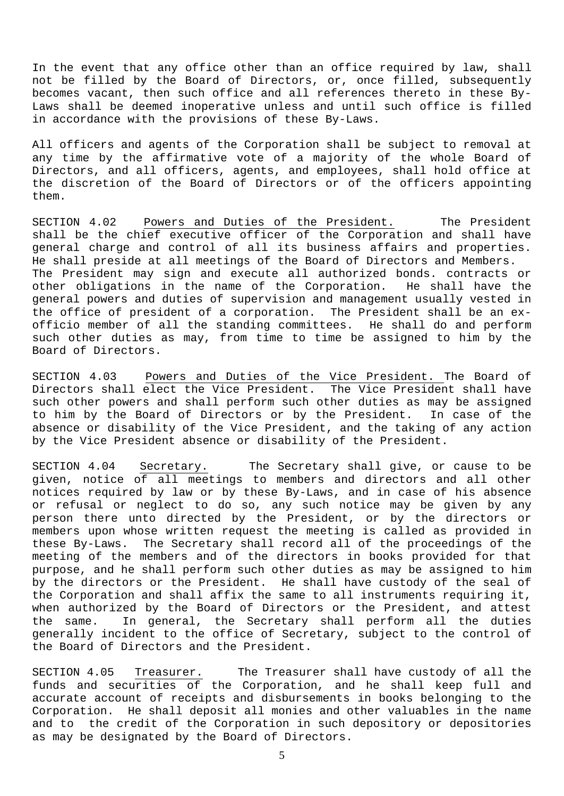In the event that any office other than an office required by law, shall not be filled by the Board of Directors, or, once filled, subsequently becomes vacant, then such office and all references thereto in these By-Laws shall be deemed inoperative unless and until such office is filled in accordance with the provisions of these By-Laws.

All officers and agents of the Corporation shall be subject to removal at any time by the affirmative vote of a majority of the whole Board of Directors, and all officers, agents, and employees, shall hold office at the discretion of the Board of Directors or of the officers appointing them.

SECTION 4.02 Powers and Duties of the President. The President shall be the chief executive officer of the Corporation and shall have general charge and control of all its business affairs and properties. He shall preside at all meetings of the Board of Directors and Members. The President may sign and execute all authorized bonds. contracts or<br>other obligations in the name of the Corporation. He shall have the other obligations in the name of the Corporation. general powers and duties of supervision and management usually vested in the office of president of a corporation. The President shall be an exofficio member of all the standing committees. He shall do and perform such other duties as may, from time to time be assigned to him by the Board of Directors.

SECTION 4.03 Powers and Duties of the Vice President. The Board of Directors shall elect the Vice President. The Vice President shall have such other powers and shall perform such other duties as may be assigned<br>to him by the Board of Directors or by the President. In case of the to him by the Board of Directors or by the President. absence or disability of the Vice President, and the taking of any action by the Vice President absence or disability of the President.

SECTION 4.04 Secretary. The Secretary shall give, or cause to be given, notice of all meetings to members and directors and all other notices required by law or by these By-Laws, and in case of his absence or refusal or neglect to do so, any such notice may be given by any person there unto directed by the President, or by the directors or members upon whose written request the meeting is called as provided in these By-Laws. The Secretary shall record all of the proceedings of the meeting of the members and of the directors in books provided for that purpose, and he shall perform such other duties as may be assigned to him by the directors or the President. He shall have custody of the seal of the Corporation and shall affix the same to all instruments requiring it, when authorized by the Board of Directors or the President, and attest the same. In general, the Secretary shall perform all the duties generally incident to the office of Secretary, subject to the control of the Board of Directors and the President.

SECTION 4.05 Treasurer. The Treasurer shall have custody of all the funds and securities of the Corporation, and he shall keep full and accurate account of receipts and disbursements in books belonging to the Corporation. He shall deposit all monies and other valuables in the name and to the credit of the Corporation in such depository or depositories as may be designated by the Board of Directors.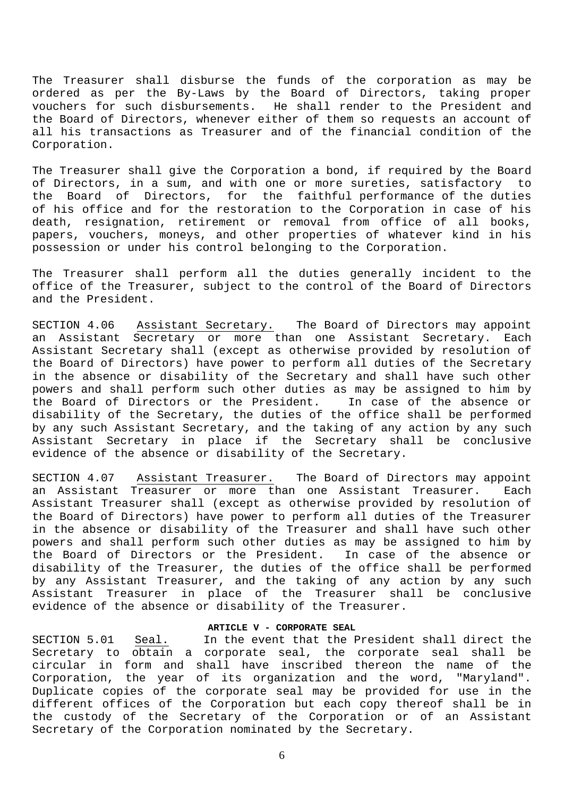The Treasurer shall disburse the funds of the corporation as may be ordered as per the By-Laws by the Board of Directors, taking proper vouchers for such disbursements. He shall render to the President and the Board of Directors, whenever either of them so requests an account of all his transactions as Treasurer and of the financial condition of the Corporation.

The Treasurer shall give the Corporation a bond, if required by the Board of Directors, in a sum, and with one or more sureties, satisfactory to the Board of Directors, for the faithful performance of the duties of his office and for the restoration to the Corporation in case of his death, resignation, retirement or removal from office of all books, papers, vouchers, moneys, and other properties of whatever kind in his possession or under his control belonging to the Corporation.

The Treasurer shall perform all the duties generally incident to the office of the Treasurer, subject to the control of the Board of Directors and the President.

SECTION 4.06 Assistant Secretary. The Board of Directors may appoint an Assistant Secretary or more than one Assistant Secretary. Each Assistant Secretary shall (except as otherwise provided by resolution of the Board of Directors) have power to perform all duties of the Secretary in the absence or disability of the Secretary and shall have such other powers and shall perform such other duties as may be assigned to him by the Board of Directors or the President. In case of the absence or disability of the Secretary, the duties of the office shall be performed by any such Assistant Secretary, and the taking of any action by any such Assistant Secretary in place if the Secretary shall be conclusive evidence of the absence or disability of the Secretary.

SECTION 4.07 Assistant Treasurer. The Board of Directors may appoint an Assistant Treasurer or more than one Assistant Treasurer. Each Assistant Treasurer shall (except as otherwise provided by resolution of the Board of Directors) have power to perform all duties of the Treasurer in the absence or disability of the Treasurer and shall have such other powers and shall perform such other duties as may be assigned to him by the Board of Directors or the President. In case of the absence or disability of the Treasurer, the duties of the office shall be performed by any Assistant Treasurer, and the taking of any action by any such Assistant Treasurer in place of the Treasurer shall be conclusive evidence of the absence or disability of the Treasurer.

### **ARTICLE V - CORPORATE SEAL**

SECTION 5.01 Seal. In the event that the President shall direct the Secretary to obtain a corporate seal, the corporate seal shall be circular in form and shall have inscribed thereon the name of the Corporation, the year of its organization and the word, "Maryland". Duplicate copies of the corporate seal may be provided for use in the different offices of the Corporation but each copy thereof shall be in the custody of the Secretary of the Corporation or of an Assistant Secretary of the Corporation nominated by the Secretary.